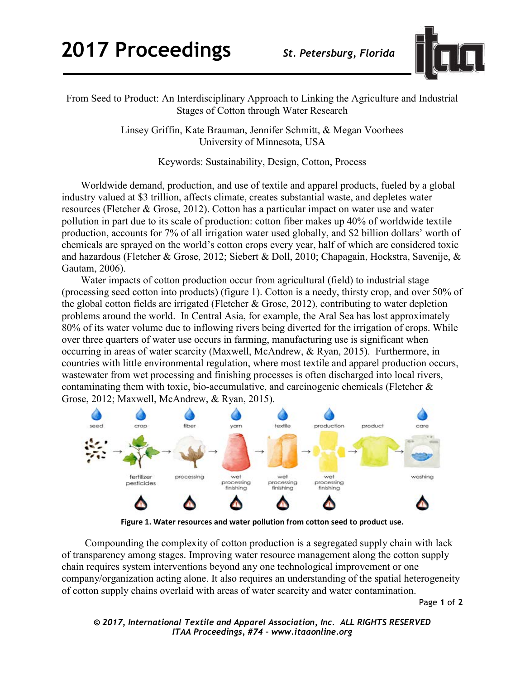

From Seed to Product: An Interdisciplinary Approach to Linking the Agriculture and Industrial Stages of Cotton through Water Research

> Linsey Griffin, Kate Brauman, Jennifer Schmitt, & Megan Voorhees University of Minnesota, USA

> > Keywords: Sustainability, Design, Cotton, Process

Worldwide demand, production, and use of textile and apparel products, fueled by a global industry valued at \$3 trillion, affects climate, creates substantial waste, and depletes water resources (Fletcher & Grose, 2012). Cotton has a particular impact on water use and water pollution in part due to its scale of production: cotton fiber makes up 40% of worldwide textile production, accounts for 7% of all irrigation water used globally, and \$2 billion dollars' worth of chemicals are sprayed on the world's cotton crops every year, half of which are considered toxic and hazardous (Fletcher & Grose, 2012; Siebert & Doll, 2010; Chapagain, Hockstra, Savenije, & Gautam, 2006).

Water impacts of cotton production occur from agricultural (field) to industrial stage (processing seed cotton into products) (figure 1). Cotton is a needy, thirsty crop, and over 50% of the global cotton fields are irrigated (Fletcher & Grose, 2012), contributing to water depletion problems around the world. In Central Asia, for example, the Aral Sea has lost approximately 80% of its water volume due to inflowing rivers being diverted for the irrigation of crops. While over three quarters of water use occurs in farming, manufacturing use is significant when occurring in areas of water scarcity (Maxwell, McAndrew, & Ryan, 2015). Furthermore, in countries with little environmental regulation, where most textile and apparel production occurs, wastewater from wet processing and finishing processes is often discharged into local rivers, contaminating them with toxic, bio-accumulative, and carcinogenic chemicals (Fletcher & Grose, 2012; Maxwell, McAndrew, & Ryan, 2015).



**Figure 1. Water resources and water pollution from cotton seed to product use.**

 Compounding the complexity of cotton production is a segregated supply chain with lack of transparency among stages. Improving water resource management along the cotton supply chain requires system interventions beyond any one technological improvement or one company/organization acting alone. It also requires an understanding of the spatial heterogeneity of cotton supply chains overlaid with areas of water scarcity and water contamination.

Page **1** of **2** 

```
© 2017, International Textile and Apparel Association, Inc. ALL RIGHTS RESERVED
      ITAA Proceedings, #74 – www.itaaonline.org
```